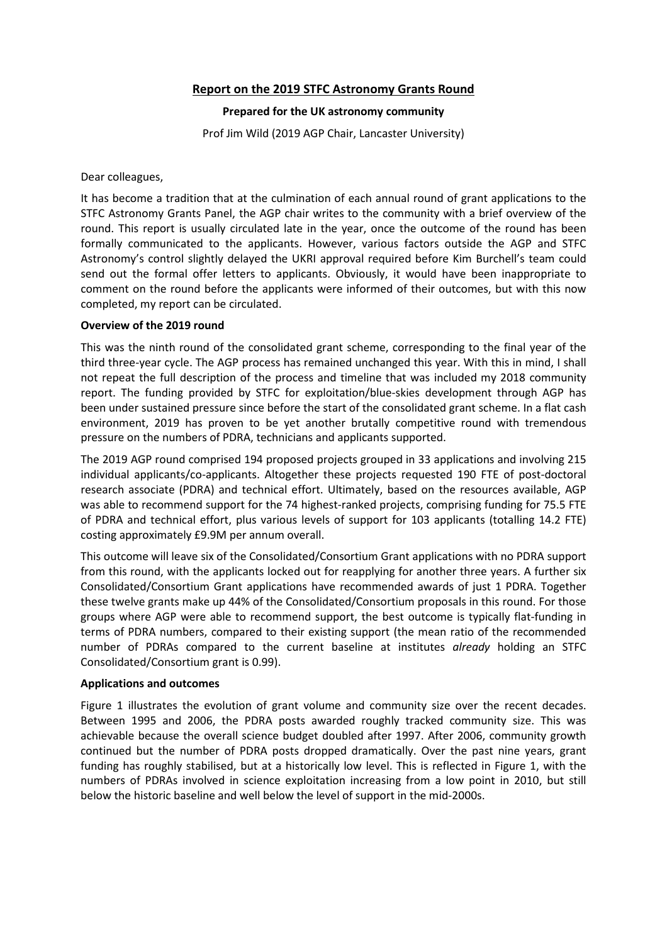# **Report on the 2019 STFC Astronomy Grants Round**

## **Prepared for the UK astronomy community**

Prof Jim Wild (2019 AGP Chair, Lancaster University)

Dear colleagues,

It has become a tradition that at the culmination of each annual round of grant applications to the STFC Astronomy Grants Panel, the AGP chair writes to the community with a brief overview of the round. This report is usually circulated late in the year, once the outcome of the round has been formally communicated to the applicants. However, various factors outside the AGP and STFC Astronomy's control slightly delayed the UKRI approval required before Kim Burchell's team could send out the formal offer letters to applicants. Obviously, it would have been inappropriate to comment on the round before the applicants were informed of their outcomes, but with this now completed, my report can be circulated.

## **Overview of the 2019 round**

This was the ninth round of the consolidated grant scheme, corresponding to the final year of the third three-year cycle. The AGP process has remained unchanged this year. With this in mind, I shall not repeat the full description of the process and timeline that was included my 2018 community report. The funding provided by STFC for exploitation/blue-skies development through AGP has been under sustained pressure since before the start of the consolidated grant scheme. In a flat cash environment, 2019 has proven to be yet another brutally competitive round with tremendous pressure on the numbers of PDRA, technicians and applicants supported.

The 2019 AGP round comprised 194 proposed projects grouped in 33 applications and involving 215 individual applicants/co-applicants. Altogether these projects requested 190 FTE of post-doctoral research associate (PDRA) and technical effort. Ultimately, based on the resources available, AGP was able to recommend support for the 74 highest-ranked projects, comprising funding for 75.5 FTE of PDRA and technical effort, plus various levels of support for 103 applicants (totalling 14.2 FTE) costing approximately £9.9M per annum overall.

This outcome will leave six of the Consolidated/Consortium Grant applications with no PDRA support from this round, with the applicants locked out for reapplying for another three years. A further six Consolidated/Consortium Grant applications have recommended awards of just 1 PDRA. Together these twelve grants make up 44% of the Consolidated/Consortium proposals in this round. For those groups where AGP were able to recommend support, the best outcome is typically flat-funding in terms of PDRA numbers, compared to their existing support (the mean ratio of the recommended number of PDRAs compared to the current baseline at institutes *already* holding an STFC Consolidated/Consortium grant is 0.99).

#### **Applications and outcomes**

Figure 1 illustrates the evolution of grant volume and community size over the recent decades. Between 1995 and 2006, the PDRA posts awarded roughly tracked community size. This was achievable because the overall science budget doubled after 1997. After 2006, community growth continued but the number of PDRA posts dropped dramatically. Over the past nine years, grant funding has roughly stabilised, but at a historically low level. This is reflected in Figure 1, with the numbers of PDRAs involved in science exploitation increasing from a low point in 2010, but still below the historic baseline and well below the level of support in the mid-2000s.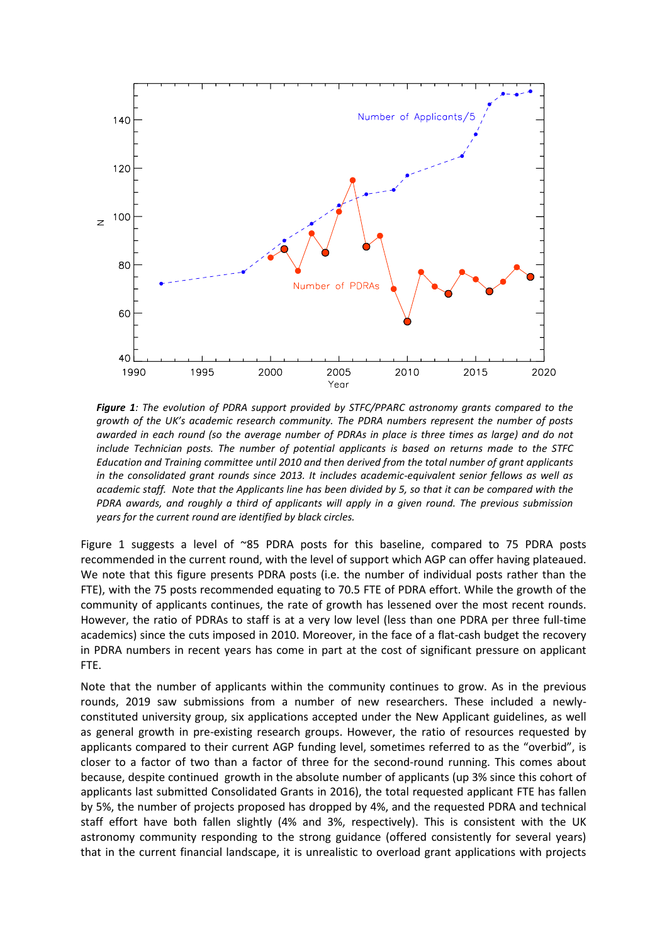

*Figure 1: The evolution of PDRA support provided by STFC/PPARC astronomy grants compared to the growth of the UK's academic research community. The PDRA numbers represent the number of posts awarded in each round (so the average number of PDRAs in place is three times as large) and do not include Technician posts. The number of potential applicants is based on returns made to the STFC Education and Training committee until 2010 and then derived from the total number of grant applicants in the consolidated grant rounds since 2013. It includes academic-equivalent senior fellows as well as academic staff. Note that the Applicants line has been divided by 5, so that it can be compared with the PDRA awards, and roughly a third of applicants will apply in a given round. The previous submission years for the current round are identified by black circles.* 

Figure 1 suggests a level of ~85 PDRA posts for this baseline, compared to 75 PDRA posts recommended in the current round, with the level of support which AGP can offer having plateaued. We note that this figure presents PDRA posts (i.e. the number of individual posts rather than the FTE), with the 75 posts recommended equating to 70.5 FTE of PDRA effort. While the growth of the community of applicants continues, the rate of growth has lessened over the most recent rounds. However, the ratio of PDRAs to staff is at a very low level (less than one PDRA per three full-time academics) since the cuts imposed in 2010. Moreover, in the face of a flat-cash budget the recovery in PDRA numbers in recent years has come in part at the cost of significant pressure on applicant FTE.

Note that the number of applicants within the community continues to grow. As in the previous rounds, 2019 saw submissions from a number of new researchers. These included a newlyconstituted university group, six applications accepted under the New Applicant guidelines, as well as general growth in pre-existing research groups. However, the ratio of resources requested by applicants compared to their current AGP funding level, sometimes referred to as the "overbid", is closer to a factor of two than a factor of three for the second-round running. This comes about because, despite continued growth in the absolute number of applicants (up 3% since this cohort of applicants last submitted Consolidated Grants in 2016), the total requested applicant FTE has fallen by 5%, the number of projects proposed has dropped by 4%, and the requested PDRA and technical staff effort have both fallen slightly (4% and 3%, respectively). This is consistent with the UK astronomy community responding to the strong guidance (offered consistently for several years) that in the current financial landscape, it is unrealistic to overload grant applications with projects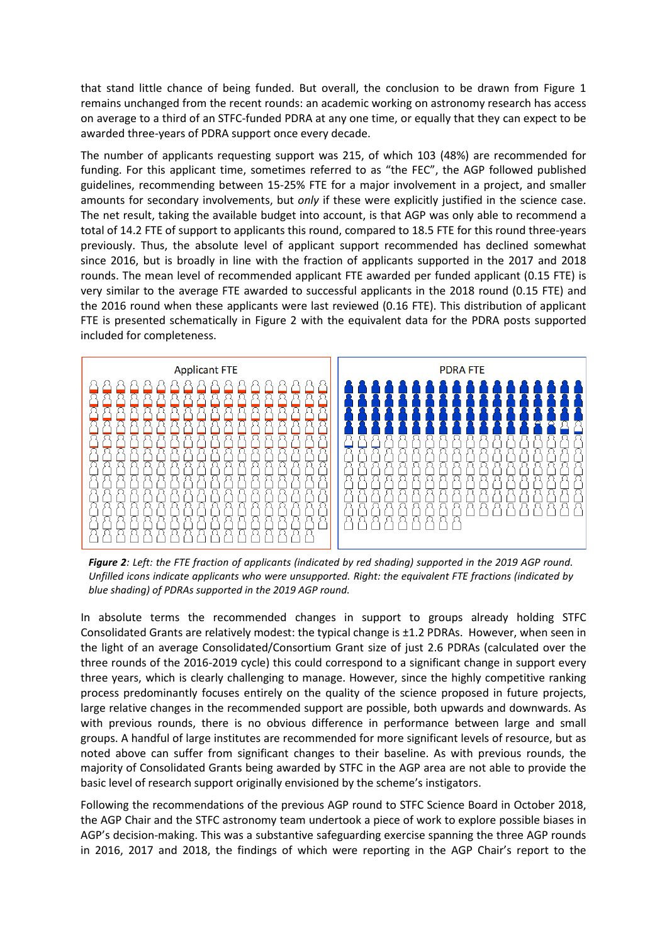that stand little chance of being funded. But overall, the conclusion to be drawn from Figure 1 remains unchanged from the recent rounds: an academic working on astronomy research has access on average to a third of an STFC-funded PDRA at any one time, or equally that they can expect to be awarded three-years of PDRA support once every decade.

The number of applicants requesting support was 215, of which 103 (48%) are recommended for funding. For this applicant time, sometimes referred to as "the FEC", the AGP followed published guidelines, recommending between 15-25% FTE for a major involvement in a project, and smaller amounts for secondary involvements, but *only* if these were explicitly justified in the science case. The net result, taking the available budget into account, is that AGP was only able to recommend a total of 14.2 FTE of support to applicants this round, compared to 18.5 FTE for this round three-years previously. Thus, the absolute level of applicant support recommended has declined somewhat since 2016, but is broadly in line with the fraction of applicants supported in the 2017 and 2018 rounds. The mean level of recommended applicant FTE awarded per funded applicant (0.15 FTE) is very similar to the average FTE awarded to successful applicants in the 2018 round (0.15 FTE) and the 2016 round when these applicants were last reviewed (0.16 FTE). This distribution of applicant FTE is presented schematically in Figure 2 with the equivalent data for the PDRA posts supported included for completeness.



*Figure 2: Left: the FTE fraction of applicants (indicated by red shading) supported in the 2019 AGP round. Unfilled icons indicate applicants who were unsupported. Right: the equivalent FTE fractions (indicated by blue shading) of PDRAs supported in the 2019 AGP round.*

In absolute terms the recommended changes in support to groups already holding STFC Consolidated Grants are relatively modest: the typical change is ±1.2 PDRAs. However, when seen in the light of an average Consolidated/Consortium Grant size of just 2.6 PDRAs (calculated over the three rounds of the 2016-2019 cycle) this could correspond to a significant change in support every three years, which is clearly challenging to manage. However, since the highly competitive ranking process predominantly focuses entirely on the quality of the science proposed in future projects, large relative changes in the recommended support are possible, both upwards and downwards. As with previous rounds, there is no obvious difference in performance between large and small groups. A handful of large institutes are recommended for more significant levels of resource, but as noted above can suffer from significant changes to their baseline. As with previous rounds, the majority of Consolidated Grants being awarded by STFC in the AGP area are not able to provide the basic level of research support originally envisioned by the scheme's instigators.

Following the recommendations of the previous AGP round to STFC Science Board in October 2018, the AGP Chair and the STFC astronomy team undertook a piece of work to explore possible biases in AGP's decision-making. This was a substantive safeguarding exercise spanning the three AGP rounds in 2016, 2017 and 2018, the findings of which were reporting in the AGP Chair's report to the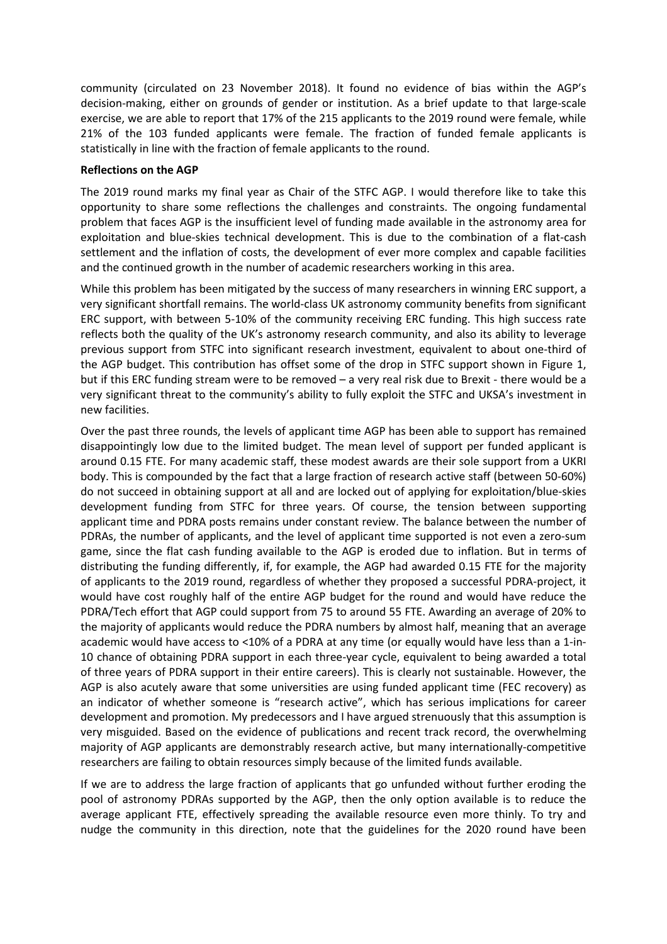community (circulated on 23 November 2018). It found no evidence of bias within the AGP's decision-making, either on grounds of gender or institution. As a brief update to that large-scale exercise, we are able to report that 17% of the 215 applicants to the 2019 round were female, while 21% of the 103 funded applicants were female. The fraction of funded female applicants is statistically in line with the fraction of female applicants to the round.

### **Reflections on the AGP**

The 2019 round marks my final year as Chair of the STFC AGP. I would therefore like to take this opportunity to share some reflections the challenges and constraints. The ongoing fundamental problem that faces AGP is the insufficient level of funding made available in the astronomy area for exploitation and blue-skies technical development. This is due to the combination of a flat-cash settlement and the inflation of costs, the development of ever more complex and capable facilities and the continued growth in the number of academic researchers working in this area.

While this problem has been mitigated by the success of many researchers in winning ERC support, a very significant shortfall remains. The world-class UK astronomy community benefits from significant ERC support, with between 5-10% of the community receiving ERC funding. This high success rate reflects both the quality of the UK's astronomy research community, and also its ability to leverage previous support from STFC into significant research investment, equivalent to about one-third of the AGP budget. This contribution has offset some of the drop in STFC support shown in Figure 1, but if this ERC funding stream were to be removed – a very real risk due to Brexit - there would be a very significant threat to the community's ability to fully exploit the STFC and UKSA's investment in new facilities.

Over the past three rounds, the levels of applicant time AGP has been able to support has remained disappointingly low due to the limited budget. The mean level of support per funded applicant is around 0.15 FTE. For many academic staff, these modest awards are their sole support from a UKRI body. This is compounded by the fact that a large fraction of research active staff (between 50-60%) do not succeed in obtaining support at all and are locked out of applying for exploitation/blue-skies development funding from STFC for three years. Of course, the tension between supporting applicant time and PDRA posts remains under constant review. The balance between the number of PDRAs, the number of applicants, and the level of applicant time supported is not even a zero-sum game, since the flat cash funding available to the AGP is eroded due to inflation. But in terms of distributing the funding differently, if, for example, the AGP had awarded 0.15 FTE for the majority of applicants to the 2019 round, regardless of whether they proposed a successful PDRA-project, it would have cost roughly half of the entire AGP budget for the round and would have reduce the PDRA/Tech effort that AGP could support from 75 to around 55 FTE. Awarding an average of 20% to the majority of applicants would reduce the PDRA numbers by almost half, meaning that an average academic would have access to <10% of a PDRA at any time (or equally would have less than a 1-in-10 chance of obtaining PDRA support in each three-year cycle, equivalent to being awarded a total of three years of PDRA support in their entire careers). This is clearly not sustainable. However, the AGP is also acutely aware that some universities are using funded applicant time (FEC recovery) as an indicator of whether someone is "research active", which has serious implications for career development and promotion. My predecessors and I have argued strenuously that this assumption is very misguided. Based on the evidence of publications and recent track record, the overwhelming majority of AGP applicants are demonstrably research active, but many internationally-competitive researchers are failing to obtain resources simply because of the limited funds available.

If we are to address the large fraction of applicants that go unfunded without further eroding the pool of astronomy PDRAs supported by the AGP, then the only option available is to reduce the average applicant FTE, effectively spreading the available resource even more thinly. To try and nudge the community in this direction, note that the guidelines for the 2020 round have been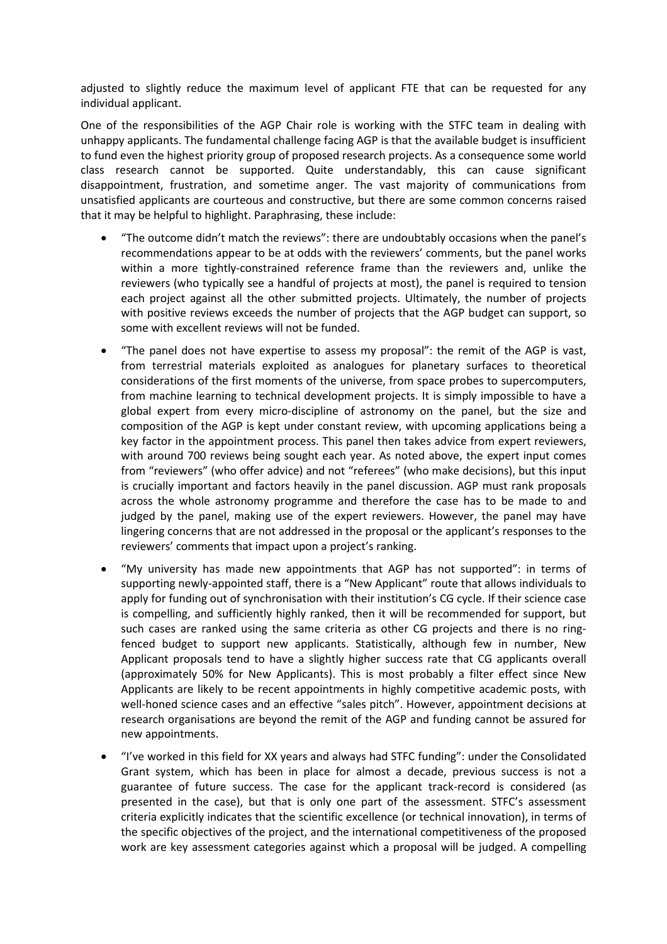adjusted to slightly reduce the maximum level of applicant FTE that can be requested for any individual applicant.

One of the responsibilities of the AGP Chair role is working with the STFC team in dealing with unhappy applicants. The fundamental challenge facing AGP is that the available budget is insufficient to fund even the highest priority group of proposed research projects. As a consequence some world class research cannot be supported. Quite understandably, this can cause significant disappointment, frustration, and sometime anger. The vast majority of communications from unsatisfied applicants are courteous and constructive, but there are some common concerns raised that it may be helpful to highlight. Paraphrasing, these include:

- "The outcome didn't match the reviews": there are undoubtably occasions when the panel's recommendations appear to be at odds with the reviewers' comments, but the panel works within a more tightly-constrained reference frame than the reviewers and, unlike the reviewers (who typically see a handful of projects at most), the panel is required to tension each project against all the other submitted projects. Ultimately, the number of projects with positive reviews exceeds the number of projects that the AGP budget can support, so some with excellent reviews will not be funded.
- "The panel does not have expertise to assess my proposal": the remit of the AGP is vast, from terrestrial materials exploited as analogues for planetary surfaces to theoretical considerations of the first moments of the universe, from space probes to supercomputers, from machine learning to technical development projects. It is simply impossible to have a global expert from every micro-discipline of astronomy on the panel, but the size and composition of the AGP is kept under constant review, with upcoming applications being a key factor in the appointment process. This panel then takes advice from expert reviewers, with around 700 reviews being sought each year. As noted above, the expert input comes from "reviewers" (who offer advice) and not "referees" (who make decisions), but this input is crucially important and factors heavily in the panel discussion. AGP must rank proposals across the whole astronomy programme and therefore the case has to be made to and judged by the panel, making use of the expert reviewers. However, the panel may have lingering concerns that are not addressed in the proposal or the applicant's responses to the reviewers' comments that impact upon a project's ranking.
- "My university has made new appointments that AGP has not supported": in terms of supporting newly-appointed staff, there is a "New Applicant" route that allows individuals to apply for funding out of synchronisation with their institution's CG cycle. If their science case is compelling, and sufficiently highly ranked, then it will be recommended for support, but such cases are ranked using the same criteria as other CG projects and there is no ringfenced budget to support new applicants. Statistically, although few in number, New Applicant proposals tend to have a slightly higher success rate that CG applicants overall (approximately 50% for New Applicants). This is most probably a filter effect since New Applicants are likely to be recent appointments in highly competitive academic posts, with well-honed science cases and an effective "sales pitch". However, appointment decisions at research organisations are beyond the remit of the AGP and funding cannot be assured for new appointments.
- "I've worked in this field for XX years and always had STFC funding": under the Consolidated Grant system, which has been in place for almost a decade, previous success is not a guarantee of future success. The case for the applicant track-record is considered (as presented in the case), but that is only one part of the assessment. STFC's assessment criteria explicitly indicates that the scientific excellence (or technical innovation), in terms of the specific objectives of the project, and the international competitiveness of the proposed work are key assessment categories against which a proposal will be judged. A compelling